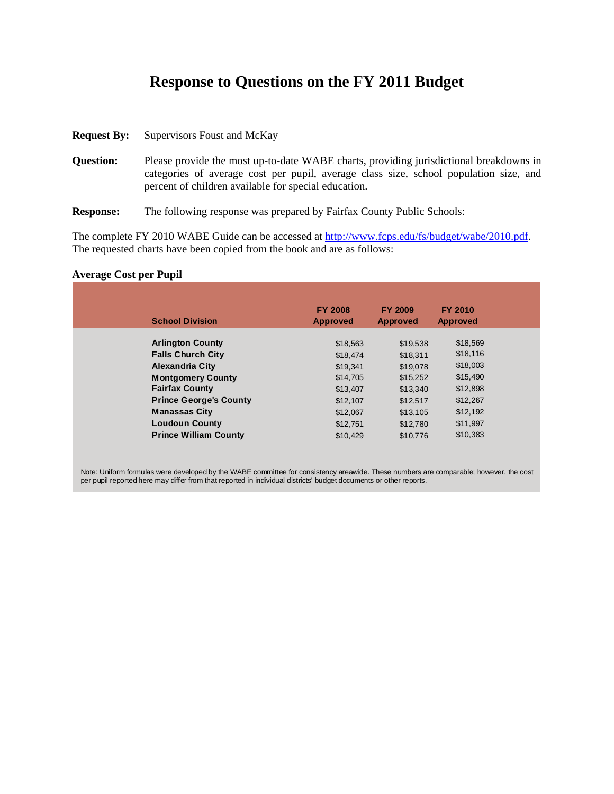# **Response to Questions on the FY 2011 Budget**

| <b>Request By:</b> | Supervisors Foust and McKay                                                                                                                                                                                                             |
|--------------------|-----------------------------------------------------------------------------------------------------------------------------------------------------------------------------------------------------------------------------------------|
| <b>Question:</b>   | Please provide the most up-to-date WABE charts, providing jurisdictional breakdowns in<br>categories of average cost per pupil, average class size, school population size, and<br>percent of children available for special education. |

**Response:** The following response was prepared by Fairfax County Public Schools:

The complete FY 2010 WABE Guide can be accessed at http://www.fcps.edu/fs/budget/wabe/2010.pdf. The requested charts have been copied from the book and are as follows:

#### **Average Cost per Pupil**

| <b>School Division</b>        | <b>FY 2008</b><br><b>Approved</b> | <b>FY 2009</b><br><b>Approved</b> | <b>FY 2010</b><br><b>Approved</b> |
|-------------------------------|-----------------------------------|-----------------------------------|-----------------------------------|
| <b>Arlington County</b>       | \$18,563                          | \$19,538                          | \$18,569                          |
| <b>Falls Church City</b>      | \$18,474                          | \$18.311                          | \$18,116                          |
| <b>Alexandria City</b>        | \$19,341                          | \$19,078                          | \$18,003                          |
| <b>Montgomery County</b>      | \$14,705                          | \$15.252                          | \$15,490                          |
| <b>Fairfax County</b>         | \$13,407                          | \$13,340                          | \$12,898                          |
| <b>Prince George's County</b> | \$12,107                          | \$12.517                          | \$12,267                          |
| <b>Manassas City</b>          | \$12,067                          | \$13.105                          | \$12,192                          |
| <b>Loudoun County</b>         | \$12,751                          | \$12.780                          | \$11,997                          |
| <b>Prince William County</b>  | \$10,429                          | \$10,776                          | \$10,383                          |

Note: Uniform formulas were developed by the WABE committee for consistency areawide. These numbers are comparable; however, the cost per pupil reported here may differ from that reported in individual districts' budget documents or other reports.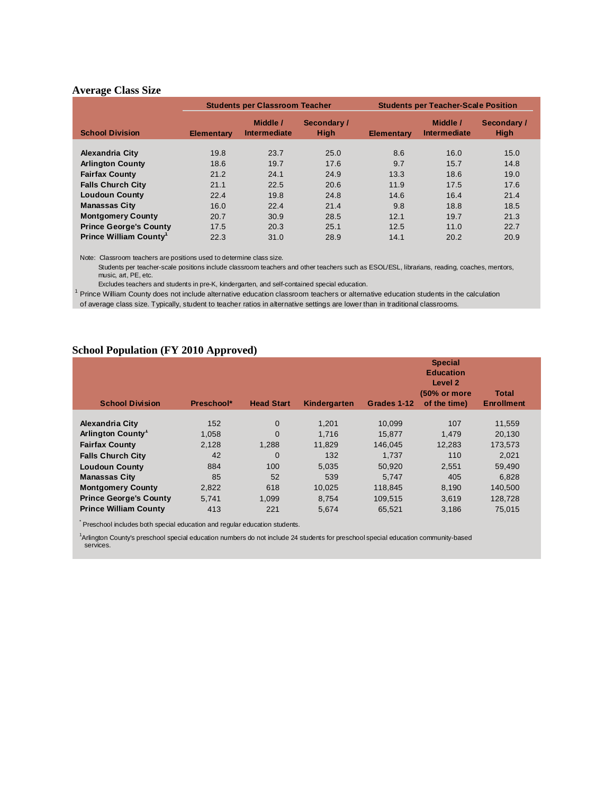### **Average Class Size**

|                                    | <b>Students per Classroom Teacher</b> |                                 |                            | <b>Students per Teacher-Scale Position</b> |                                 |                     |  |
|------------------------------------|---------------------------------------|---------------------------------|----------------------------|--------------------------------------------|---------------------------------|---------------------|--|
| <b>School Division</b>             | <b>Elementary</b>                     | Middle /<br><b>Intermediate</b> | Secondary /<br><b>High</b> | <b>Elementary</b>                          | Middle /<br><b>Intermediate</b> | Secondary /<br>High |  |
| <b>Alexandria City</b>             | 19.8                                  | 23.7                            | 25.0                       | 8.6                                        | 16.0                            | 15.0                |  |
| <b>Arlington County</b>            | 18.6                                  | 19.7                            | 17.6                       | 9.7                                        | 15.7                            | 14.8                |  |
| <b>Fairfax County</b>              | 21.2                                  | 24.1                            | 24.9                       | 13.3                                       | 18.6                            | 19.0                |  |
| <b>Falls Church City</b>           | 21.1                                  | 22.5                            | 20.6                       | 11.9                                       | 17.5                            | 17.6                |  |
| <b>Loudoun County</b>              | 22.4                                  | 19.8                            | 24.8                       | 14.6                                       | 16.4                            | 21.4                |  |
| <b>Manassas City</b>               | 16.0                                  | 22.4                            | 21.4                       | 9.8                                        | 18.8                            | 18.5                |  |
| <b>Montgomery County</b>           | 20.7                                  | 30.9                            | 28.5                       | 12.1                                       | 19.7                            | 21.3                |  |
| <b>Prince George's County</b>      | 17.5                                  | 20.3                            | 25.1                       | 12.5                                       | 11.0                            | 22.7                |  |
| Prince William County <sup>1</sup> | 22.3                                  | 31.0                            | 28.9                       | 14.1                                       | 20.2                            | 20.9                |  |

Note: Classroom teachers are positions used to determine class size.

Students per teacher-scale positions include classroom teachers and other teachers such as ESOL/ESL, librarians, reading, coaches, mentors, music, art, PE, etc.

Excludes teachers and students in pre-K, kindergarten, and self-contained special education.

 $1$  Prince William County does not include alternative education classroom teachers or alternative education students in the calculation

of average class size. Typically, student to teacher ratios in alternative settings are lower than in traditional classrooms.

### **School Population (FY 2010 Approved)**

| <b>School Division</b>        | Preschool* | <b>Head Start</b> | Kindergarten | Grades 1-12 | <b>Special</b><br><b>Education</b><br>Level 2<br>(50% or more<br>of the time) | Total<br><b>Enrollment</b> |
|-------------------------------|------------|-------------------|--------------|-------------|-------------------------------------------------------------------------------|----------------------------|
| <b>Alexandria City</b>        | 152        | $\mathbf 0$       | 1.201        | 10.099      | 107                                                                           | 11,559                     |
| Arlington County <sup>1</sup> | 1,058      | $\overline{0}$    | 1.716        | 15.877      | 1.479                                                                         | 20.130                     |
| <b>Fairfax County</b>         | 2,128      | 1.288             | 11,829       | 146.045     | 12.283                                                                        | 173,573                    |
| <b>Falls Church City</b>      | 42         | $\mathbf 0$       | 132          | 1.737       | 110                                                                           | 2.021                      |
| <b>Loudoun County</b>         | 884        | 100               | 5,035        | 50.920      | 2,551                                                                         | 59,490                     |
| <b>Manassas City</b>          | 85         | 52                | 539          | 5.747       | 405                                                                           | 6.828                      |
| <b>Montgomery County</b>      | 2,822      | 618               | 10,025       | 118.845     | 8.190                                                                         | 140,500                    |
| <b>Prince George's County</b> | 5.741      | 1.099             | 8.754        | 109,515     | 3.619                                                                         | 128,728                    |
| <b>Prince William County</b>  | 413        | 221               | 5,674        | 65,521      | 3,186                                                                         | 75,015                     |

\* Preschool includes both special education and regular education students.

1 Arlington County's preschool special education numbers do not include 24 students for preschool special education community-based services.